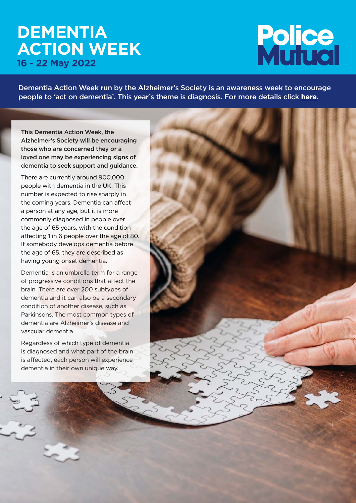## **DEMENTIA ACTION WEEK 16 - 22 May 2022**

# **Police**<br>Muluol

Dementia Action Week run by the Alzheimer's Society is an awareness week to encourage people to 'act on dementia'. This year's theme is diagnosis. For more details click **[here](https://www.alzheimers.org.uk/get-involved/dementia-action-week)**.

This Dementia Action Week, the Alzheimer's Society will be encouraging those who are concerned they or a loved one may be experiencing signs of dementia to seek support and guidance.

There are currently around 900,000 people with dementia in the UK. This number is expected to rise sharply in the coming years. Dementia can affect a person at any age, but it is more commonly diagnosed in people over the age of 65 years, with the condition affecting 1 in 6 people over the age of 80. If somebody develops dementia before the age of 65, they are described as having young onset dementia.

Dementia is an umbrella term for a range of progressive conditions that affect the brain. There are over 200 subtypes of dementia and it can also be a secondary condition of another disease, such as Parkinsons. The most common types of dementia are Alzheimer's disease and vascular dementia.

Regardless of which type of dementia is diagnosed and what part of the brain is affected, each person will experience dementia in their own unique way.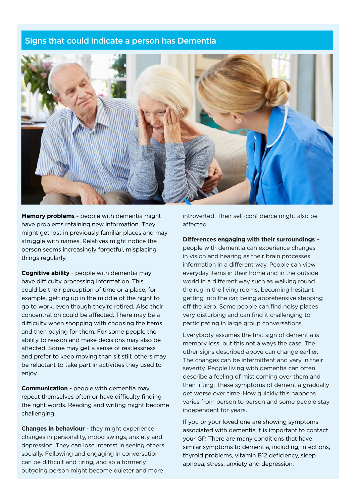#### Signs that could indicate a person has Dementia



**Memory problems -** people with dementia might have problems retaining new information. They might get lost in previously familiar places and may struggle with names. Relatives might notice the person seems increasingly forgetful, misplacing things regularly.

**Cognitive ability** - people with dementia may have difficulty processing information. This could be their perception of time or a place, for example, getting up in the middle of the night to go to work, even though they're retired. Also their concentration could be affected. There may be a difficulty when shopping with choosing the items and then paying for them. For some people the ability to reason and make decisions may also be affected. Some may get a sense of restlessness and prefer to keep moving than sit still; others may be reluctant to take part in activities they used to enjoy.

**Communication - people with dementia may** repeat themselves often or have difficulty finding the right words. Reading and writing might become challenging.

**Changes in behaviour** - they might experience changes in personality, mood swings, anxiety and depression. They can lose interest in seeing others socially. Following and engaging in conversation can be difficult and tiring, and so a formerly outgoing person might become quieter and more

introverted. Their self-confidence might also be affected.

**Differences engaging with their surroundings** –

people with dementia can experience changes in vision and hearing as their brain processes information in a different way. People can view everyday items in their home and in the outside world in a different way such as walking round the rug in the living rooms, becoming hesitant getting into the car, being apprehensive stepping off the kerb. Some people can find noisy places very disturbing and can find it challenging to participating in large group conversations.

Everybody assumes the first sign of dementia is memory loss, but this not always the case. The other signs described above can change earlier. The changes can be intermittent and vary in their severity. People living with dementia can often describe a feeling of mist coming over them and then lifting. These symptoms of dementia gradually get worse over time. How quickly this happens varies from person to person and some people stay independent for years.

If you or your loved one are showing symptoms associated with dementia it is important to contact your GP. There are many conditions that have similar symptoms to dementia, including, infections, thyroid problems, vitamin B12 deficiency, sleep apnoea, stress, anxiety and depression.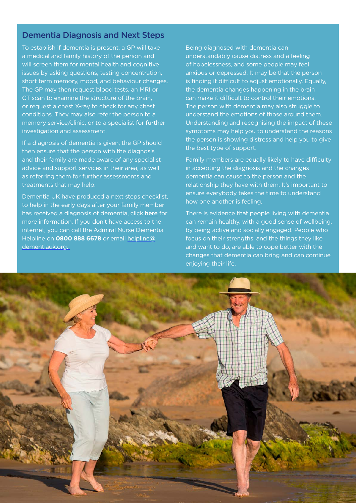#### Dementia Diagnosis and Next Steps

To establish if dementia is present, a GP will take a medical and family history of the person and will screen them for mental health and cognitive issues by asking questions, testing concentration, short term memory, mood, and behaviour changes. The GP may then request blood tests, an MRI or CT scan to examine the structure of the brain, or request a chest X-ray to check for any chest conditions. They may also refer the person to a memory service/clinic, or to a specialist for further investigation and assessment.

If a diagnosis of dementia is given, the GP should then ensure that the person with the diagnosis and their family are made aware of any specialist advice and support services in their area, as well as referring them for further assessments and treatments that may help.

Dementia UK have produced a next steps checklist, to help in the early days after your family member has received a diagnosis of dementia, click [here](https://www.dementiauk.org/get-support/diagnosis-and-specialist-suppport/after-a-diagnosis-of-dementia-next-steps-checklist/) for more information. If you don't have access to the internet, you can call the Admiral Nurse Dementia Helpline on **0800 888 6678** or email [helpline@](mailto:helpline@dementiauk.org) [dementiauk.org.](mailto:helpline@dementiauk.org)

Being diagnosed with dementia can understandably cause distress and a feeling of hopelessness, and some people may feel anxious or depressed. It may be that the person is finding it difficult to adjust emotionally. Equally, the dementia changes happening in the brain can make it difficult to control their emotions. The person with dementia may also struggle to understand the emotions of those around them. Understanding and recognising the impact of these symptoms may help you to understand the reasons the person is showing distress and help you to give the best type of support.

Family members are equally likely to have difficulty in accepting the diagnosis and the changes dementia can cause to the person and the relationship they have with them. It's important to ensure everybody takes the time to understand how one another is feeling.

There is evidence that people living with dementia can remain healthy, with a good sense of wellbeing, by being active and socially engaged. People who focus on their strengths, and the things they like and want to do, are able to cope better with the changes that dementia can bring and can continue enjoying their life.

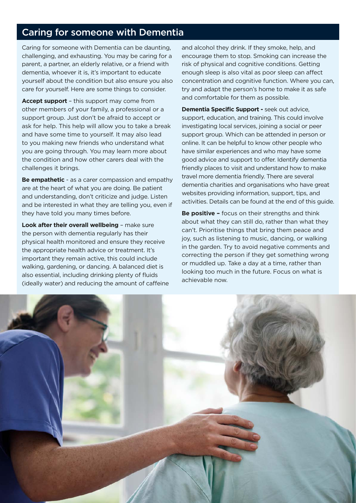### Caring for someone with Dementia

Caring for someone with Dementia can be daunting, challenging, and exhausting. You may be caring for a parent, a partner, an elderly relative, or a friend with dementia, whoever it is, it's important to educate yourself about the condition but also ensure you also care for yourself. Here are some things to consider.

**Accept support** – this support may come from other members of your family, a professional or a support group. Just don't be afraid to accept or ask for help. This help will allow you to take a break and have some time to yourself. It may also lead to you making new friends who understand what you are going through. You may learn more about the condition and how other carers deal with the challenges it brings.

**Be empathetic** - as a carer compassion and empathy are at the heart of what you are doing. Be patient and understanding, don't criticize and judge. Listen and be interested in what they are telling you, even if they have told you many times before.

**Look after their overall wellbeing** – make sure the person with dementia regularly has their physical health monitored and ensure they receive the appropriate health advice or treatment. It's important they remain active, this could include walking, gardening, or dancing. A balanced diet is also essential, including drinking plenty of fluids (ideally water) and reducing the amount of caffeine and alcohol they drink. If they smoke, help, and encourage them to stop. Smoking can increase the risk of physical and cognitive conditions. Getting enough sleep is also vital as poor sleep can affect concentration and cognitive function. Where you can, try and adapt the person's home to make it as safe and comfortable for them as possible.

**Dementia Specific Support -** seek out advice, support, education, and training. This could involve investigating local services, joining a social or peer support group. Which can be attended in person or online. It can be helpful to know other people who have similar experiences and who may have some good advice and support to offer. Identify dementia friendly places to visit and understand how to make travel more dementia friendly. There are several dementia charities and organisations who have great websites providing information, support, tips, and activities. Details can be found at the end of this guide.

**Be positive –** focus on their strengths and think about what they can still do, rather than what they can't. Prioritise things that bring them peace and joy, such as listening to music, dancing, or walking in the garden. Try to avoid negative comments and correcting the person if they get something wrong or muddled up. Take a day at a time, rather than looking too much in the future. Focus on what is achievable now.

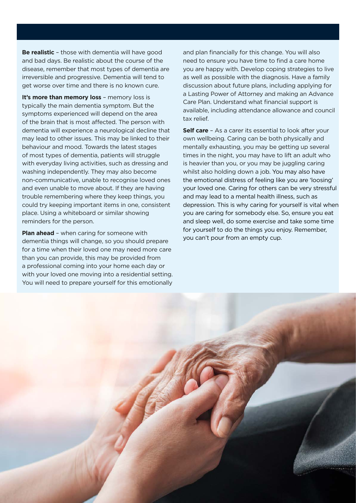**Be realistic** – those with dementia will have good and bad days. Be realistic about the course of the disease, remember that most types of dementia are irreversible and progressive. Dementia will tend to get worse over time and there is no known cure.

**It's more than memory loss** - memory loss is typically the main dementia symptom. But the symptoms experienced will depend on the area of the brain that is most affected. The person with dementia will experience a neurological decline that may lead to other issues. This may be linked to their behaviour and mood. Towards the latest stages of most types of dementia, patients will struggle with everyday living activities, such as dressing and washing independently. They may also become non-communicative, unable to recognise loved ones and even unable to move about. If they are having trouble remembering where they keep things, you could try keeping important items in one, consistent place. Using a whiteboard or similar showing reminders for the person.

**Plan ahead** – when caring for someone with dementia things will change, so you should [prepare](https://www.alzheimers.net/2014-04-24/questions-to-ask-about-memory-care/)  [for a time when their loved one may need more care](https://www.alzheimers.net/2014-04-24/questions-to-ask-about-memory-care/)  [than you can provide, this may be provided from](https://www.alzheimers.net/2014-04-24/questions-to-ask-about-memory-care/)  [a professional coming](https://www.alzheimers.net/2014-04-24/questions-to-ask-about-memory-care/) into your home each day or with your loved one moving into a residential setting. You will need to prepare yourself for this emotionally

and plan financially for this change. You will also need to ensure you have time to find a care home you are happy with. Develop coping strategies to live as well as possible with the diagnosis. Have a family discussion about future plans, including applying for a Lasting Power of Attorney and making an Advance Care Plan. Understand what financial support is available, including attendance allowance and council tax relief.

**Self care** – As a carer its essential to look after your own wellbeing. Caring can be both physically and mentally exhausting, you may be getting up several times in the night, you may have to lift an adult who is heavier than you, or you may be juggling caring whilst also holding down a job. You may also have the emotional distress of feeling like you are 'loosing' your loved one. Caring for others can be very stressful and may lead to a mental health illness, such as depression. This is why caring for yourself is vital when you are caring for somebody else. So, ensure you eat and sleep well, do some exercise and take some time for yourself to do the things you enjoy. Remember, you can't pour from an empty cup.